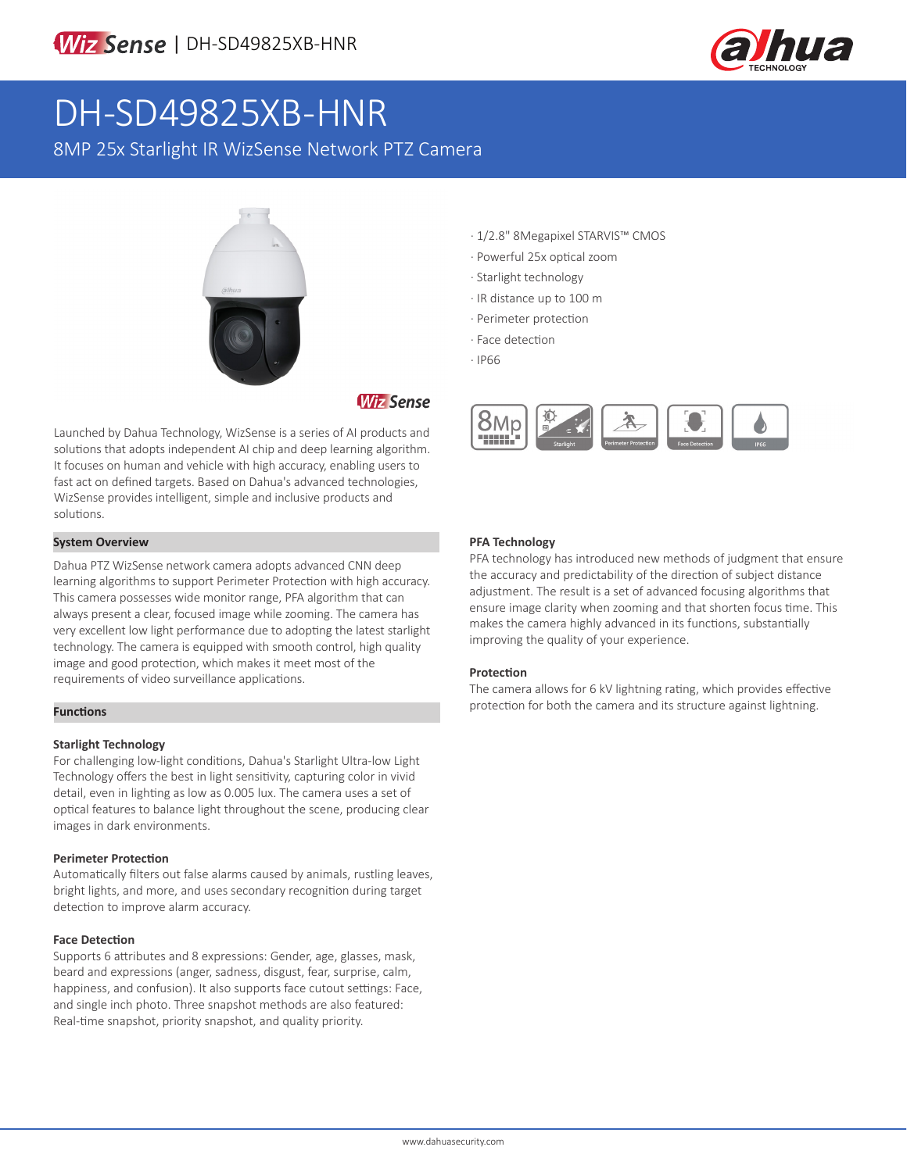

# DH-SD49825XB-HNR

8MP 25x Starlight IR WizSense Network PTZ Camera



# **Wiz Sense**

Launched by Dahua Technology, WizSense is a series of AI products and solutions that adopts independent AI chip and deep learning algorithm. It focuses on human and vehicle with high accuracy, enabling users to fast act on defined targets. Based on Dahua's advanced technologies, WizSense provides intelligent, simple and inclusive products and solutions.

### **System Overview**

Dahua PTZ WizSense network camera adopts advanced CNN deep learning algorithms to support Perimeter Protection with high accuracy. This camera possesses wide monitor range, PFA algorithm that can always present a clear, focused image while zooming. The camera has very excellent low light performance due to adopting the latest starlight technology. The camera is equipped with smooth control, high quality image and good protection, which makes it meet most of the requirements of video surveillance applications.

### **Functions**

### **Starlight Technology**

For challenging low-light conditions, Dahua's Starlight Ultra-low Light Technology offers the best in light sensitivity, capturing color in vivid detail, even in lighting as low as 0.005 lux. The camera uses a set of optical features to balance light throughout the scene, producing clear images in dark environments.

### **Perimeter Protection**

Automatically filters out false alarms caused by animals, rustling leaves, bright lights, and more, and uses secondary recognition during target detection to improve alarm accuracy.

### **Face Detection**

Supports 6 attributes and 8 expressions: Gender, age, glasses, mask, beard and expressions (anger, sadness, disgust, fear, surprise, calm, happiness, and confusion). It also supports face cutout settings: Face, and single inch photo. Three snapshot methods are also featured: Real-time snapshot, priority snapshot, and quality priority.

- · 1/2.8" 8Megapixel STARVIS™ CMOS
- · Powerful 25x optical zoom
- · Starlight technology
- · IR distance up to 100 m
- · Perimeter protection
- · Face detection
- · IP66



### **PFA Technology**

PFA technology has introduced new methods of judgment that ensure the accuracy and predictability of the direction of subject distance adjustment. The result is a set of advanced focusing algorithms that ensure image clarity when zooming and that shorten focus time. This makes the camera highly advanced in its functions, substantially improving the quality of your experience.

### **Protection**

The camera allows for 6 kV lightning rating, which provides effective protection for both the camera and its structure against lightning.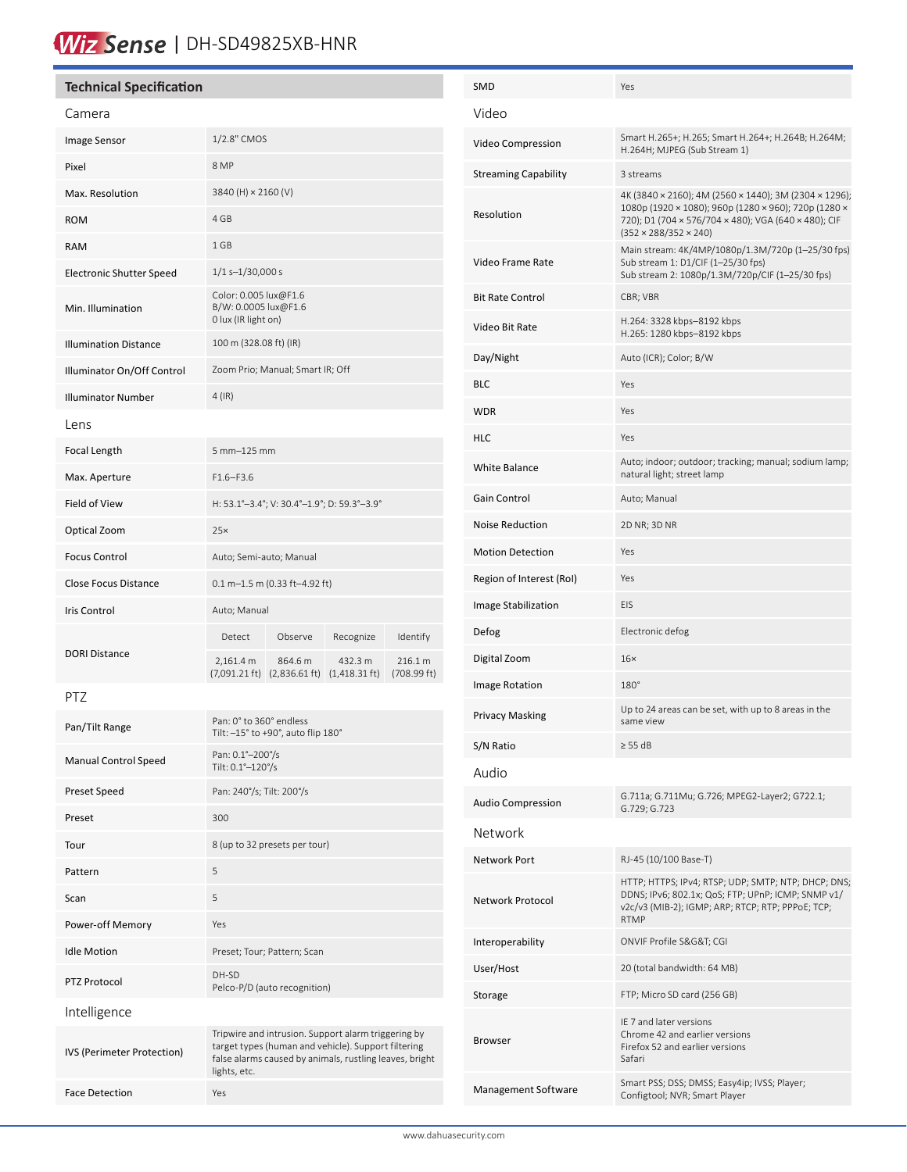# Wiz Sense | DH-SD49825XB-HNR

# **Technical Specification** Camera Image Sensor 1/2.8" CMOS Pixel 8 MP Max. Resolution 3840 (H) × 2160 (V) ROM 4 GB RAM 1 GB Electronic Shutter Speed 1/1 s-1/30,000 s Min. Illumination Color: 0.005 lux@F1.6 B/W: 0.0005 lux@F1.6 0 lux (IR light on) Illumination Distance 100 m (328.08 ft) (IR) Illuminator On/Off Control Zoom Prio; Manual; Smart IR; Off Illuminator Number 4 (IR) Lens Focal Length 5 mm–125 mm Max. Aperture F1.6–F3.6 Field of View H: 53.1°–3.4°; V: 30.4°–1.9°; D: 59.3°–3.9° Optical Zoom 25× Focus Control **Auto**; Semi-auto; Manual Close Focus Distance  $0.1 \text{ m}$ –1.5 m (0.33 ft–4.92 ft) Iris Control **Auto**; Manual DORI Distance Detect Observe Recognize Identify 2,161.4 m (7,091.21 ft) (2,836.61 ft) (1,418.31 ft) 864.6 m 432.3 m 216.1 m (708.99 ft) PTZ Pan/Tilt Range Pan: 0° to 360° endless Tilt: –15° to +90°, auto flip 180° Manual Control Speed<br>
Fitte 0.1° 120°/s Tilt: 0.1°–120°/s Preset Speed Pan: 240°/s; Tilt: 200°/s Preset 300 Tour 8 (up to 32 presets per tour) Pattern 5 Scan 5 Power-off Memory Yes Idle Motion Preset; Tour; Pattern; Scan PTZ Protocol DH-SD

Pelco-P/D (auto recognition)

lights, etc.

Tripwire and intrusion. Support alarm triggering by target types (human and vehicle). Support filtering false alarms caused by animals, rustling leaves, bright

Intelligence

IVS (Perimeter Protection)

Face Detection Yes

| SMD                      | Yes                                                                                                                                                                                                        |  |  |  |
|--------------------------|------------------------------------------------------------------------------------------------------------------------------------------------------------------------------------------------------------|--|--|--|
| Video                    |                                                                                                                                                                                                            |  |  |  |
| Video Compression        | Smart H.265+; H.265; Smart H.264+; H.264B; H.264M;<br>H.264H; MJPEG (Sub Stream 1)                                                                                                                         |  |  |  |
| Streaming Capability     | 3 streams                                                                                                                                                                                                  |  |  |  |
| Resolution               | 4K (3840 × 2160); 4M (2560 × 1440); 3M (2304 × 1296);<br>1080p (1920 × 1080); 960p (1280 × 960); 720p (1280 ×<br>720); D1 (704 × 576/704 × 480); VGA (640 × 480); CIF<br>$(352 \times 288/352 \times 240)$ |  |  |  |
| Video Frame Rate         | Main stream: 4K/4MP/1080p/1.3M/720p (1-25/30 fps)<br>Sub stream 1: D1/CIF (1-25/30 fps)<br>Sub stream 2: 1080p/1.3M/720p/CIF (1-25/30 fps)                                                                 |  |  |  |
| Bit Rate Control         | CBR; VBR                                                                                                                                                                                                   |  |  |  |
| Video Bit Rate           | H.264: 3328 kbps-8192 kbps<br>H.265: 1280 kbps-8192 kbps                                                                                                                                                   |  |  |  |
| Day/Night                | Auto (ICR); Color; B/W                                                                                                                                                                                     |  |  |  |
| BLC                      | Yes                                                                                                                                                                                                        |  |  |  |
| WDR                      | Yes                                                                                                                                                                                                        |  |  |  |
| HLC                      | Yes                                                                                                                                                                                                        |  |  |  |
| <b>White Balance</b>     | Auto; indoor; outdoor; tracking; manual; sodium lamp;<br>natural light; street lamp                                                                                                                        |  |  |  |
| Gain Control             | Auto; Manual                                                                                                                                                                                               |  |  |  |
| Noise Reduction          | 2D NR; 3D NR                                                                                                                                                                                               |  |  |  |
| <b>Motion Detection</b>  | Yes                                                                                                                                                                                                        |  |  |  |
| Region of Interest (RoI) | Yes                                                                                                                                                                                                        |  |  |  |
| Image Stabilization      | EIS                                                                                                                                                                                                        |  |  |  |
| Defog                    | Electronic defog                                                                                                                                                                                           |  |  |  |
| Digital Zoom             | $16\times$                                                                                                                                                                                                 |  |  |  |
| Image Rotation           | $180^\circ$                                                                                                                                                                                                |  |  |  |
| Privacy Masking          | Up to 24 areas can be set, with up to 8 areas in the<br>same view                                                                                                                                          |  |  |  |
| S/N Ratio                | $\geq$ 55 dB                                                                                                                                                                                               |  |  |  |
| Audio                    |                                                                                                                                                                                                            |  |  |  |
| Audio Compression        | G.711a; G.711Mu; G.726; MPEG2-Layer2; G722.1;<br>G.729; G.723                                                                                                                                              |  |  |  |
| Network                  |                                                                                                                                                                                                            |  |  |  |
| Network Port             | RJ-45 (10/100 Base-T)                                                                                                                                                                                      |  |  |  |
| Network Protocol         | HTTP; HTTPS; IPv4; RTSP; UDP; SMTP; NTP; DHCP; DNS;<br>DDNS; IPv6; 802.1x; QoS; FTP; UPnP; ICMP; SNMP v1/<br>v2c/v3 (MIB-2); IGMP; ARP; RTCP; RTP; PPPoE; TCP;<br><b>RTMP</b>                              |  |  |  |
| Interoperability         | ONVIF Profile S&G&T CGI                                                                                                                                                                                    |  |  |  |
| User/Host                | 20 (total bandwidth: 64 MB)                                                                                                                                                                                |  |  |  |
| Storage                  | FTP; Micro SD card (256 GB)                                                                                                                                                                                |  |  |  |
| Browser                  | IE 7 and later versions<br>Chrome 42 and earlier versions<br>Firefox 52 and earlier versions<br>Safari                                                                                                     |  |  |  |
| Management Software      | Smart PSS; DSS; DMSS; Easy4ip; IVSS; Player;<br>Configtool; NVR; Smart Player                                                                                                                              |  |  |  |
|                          |                                                                                                                                                                                                            |  |  |  |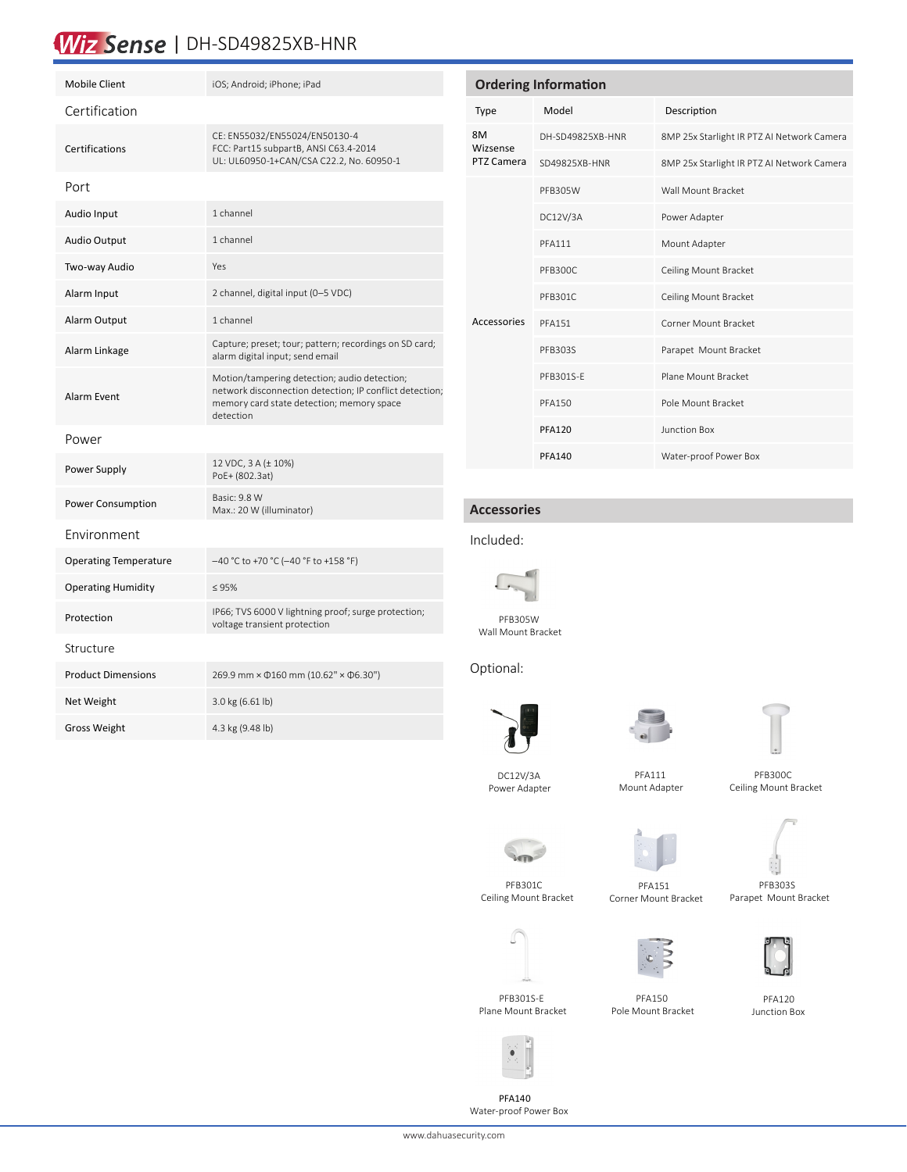# Wiz Sense | DH-SD49825XB-HNR

| <b>Mobile Client</b>         | iOS; Android; iPhone; iPad                                                                                                                                        |
|------------------------------|-------------------------------------------------------------------------------------------------------------------------------------------------------------------|
| Certification                |                                                                                                                                                                   |
| Certifications               | CE: EN55032/EN55024/EN50130-4<br>FCC: Part15 subpartB, ANSI C63.4-2014<br>UL: UL60950-1+CAN/CSA C22.2, No. 60950-1                                                |
| Port                         |                                                                                                                                                                   |
| Audio Input                  | 1 channel                                                                                                                                                         |
| <b>Audio Output</b>          | 1 channel                                                                                                                                                         |
| Two-way Audio                | Yes                                                                                                                                                               |
| Alarm Input                  | 2 channel, digital input (0-5 VDC)                                                                                                                                |
| Alarm Output                 | 1 channel                                                                                                                                                         |
| Alarm Linkage                | Capture; preset; tour; pattern; recordings on SD card;<br>alarm digital input; send email                                                                         |
| <b>Alarm Event</b>           | Motion/tampering detection; audio detection;<br>network disconnection detection; IP conflict detection;<br>memory card state detection; memory space<br>detection |
| Power                        |                                                                                                                                                                   |
| Power Supply                 | 12 VDC, 3 A (± 10%)<br>PoE+ (802.3at)                                                                                                                             |
| Power Consumption            | Basic: 9.8 W<br>Max.: 20 W (illuminator)                                                                                                                          |
| Fnvironment                  |                                                                                                                                                                   |
| <b>Operating Temperature</b> | -40 °C to +70 °C (-40 °F to +158 °F)                                                                                                                              |
| <b>Operating Humidity</b>    | $\leq 95\%$                                                                                                                                                       |
| Protection                   | IP66; TVS 6000 V lightning proof; surge protection;<br>voltage transient protection                                                                               |
| Structure                    |                                                                                                                                                                   |
| <b>Product Dimensions</b>    | 269.9 mm × $\Phi$ 160 mm (10.62" × $\Phi$ 6.30")                                                                                                                  |
| Net Weight                   | 3.0 kg (6.61 lb)                                                                                                                                                  |
| Gross Weight                 | 4.3 kg (9.48 lb)                                                                                                                                                  |
|                              |                                                                                                                                                                   |

| <b>Ordering Information</b>  |                  |                                            |  |  |
|------------------------------|------------------|--------------------------------------------|--|--|
| Type                         | Model            | Description                                |  |  |
| 8M<br>Wizsense<br>PTZ Camera | DH-SD49825XB-HNR | 8MP 25x Starlight IR PTZ AI Network Camera |  |  |
|                              | SD49825XB-HNR    | 8MP 25x Starlight IR PTZ AI Network Camera |  |  |
|                              | PFB305W          | Wall Mount Bracket                         |  |  |
|                              | DC12V/3A         | Power Adapter                              |  |  |
|                              | <b>PFA111</b>    | Mount Adapter                              |  |  |
|                              | PFB300C          | Ceiling Mount Bracket                      |  |  |
|                              | PFB301C          | Ceiling Mount Bracket                      |  |  |
| Accessories                  | <b>PFA151</b>    | Corner Mount Bracket                       |  |  |
|                              | PFB303S          | Parapet Mount Bracket                      |  |  |
|                              | PFB301S-E        | Plane Mount Bracket                        |  |  |
|                              | <b>PFA150</b>    | Pole Mount Bracket                         |  |  |
|                              | <b>PFA120</b>    | Junction Box                               |  |  |
|                              | <b>PFA140</b>    | Water-proof Power Box                      |  |  |

# **Accessories**

#### Included:



Wall Mount Bracket

 DC12V/3A Power Adapter

# Optional:







 PFB300C Ceiling Mount Bracket



 PFB301C Ceiling Mount Bracket



 PFA151 Corner Mount Bracket

 PFA111 Mount Adapter



 PFB303S Parapet Mount Bracket

 PFA120 Junction Box

 PFB301S-E Plane Mount Bracket

 PFA150 Pole Mount Bracket



PFA140